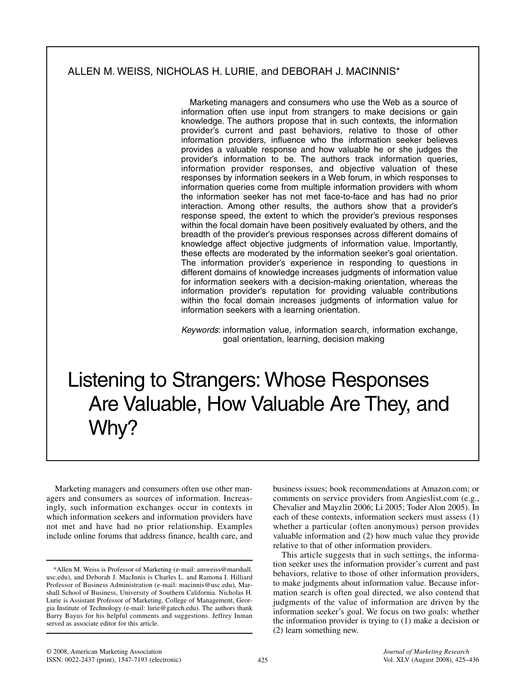# ALLEN M. WEISS, NICHOLAS H. LURIE, and DEBORAH J. MACINNIS\*

Marketing managers and consumers who use the Web as a source of information often use input from strangers to make decisions or gain knowledge. The authors propose that in such contexts, the information provider's current and past behaviors, relative to those of other information providers, influence who the information seeker believes provides a valuable response and how valuable he or she judges the provider's information to be. The authors track information queries, information provider responses, and objective valuation of these responses by information seekers in a Web forum, in which responses to information queries come from multiple information providers with whom the information seeker has not met face-to-face and has had no prior interaction. Among other results, the authors show that a provider's response speed, the extent to which the provider's previous responses within the focal domain have been positively evaluated by others, and the breadth of the provider's previous responses across different domains of knowledge affect objective judgments of information value. Importantly, these effects are moderated by the information seeker's goal orientation. The information provider's experience in responding to questions in different domains of knowledge increases judgments of information value for information seekers with a decision-making orientation, whereas the information provider's reputation for providing valuable contributions within the focal domain increases judgments of information value for information seekers with a learning orientation.

Keywords: information value, information search, information exchange, goal orientation, learning, decision making

# Listening to Strangers: Whose Responses Are Valuable, How Valuable Are They, and Why?

Marketing managers and consumers often use other managers and consumers as sources of information. Increasingly, such information exchanges occur in contexts in which information seekers and information providers have not met and have had no prior relationship. Examples include online forums that address finance, health care, and

business issues; book recommendations at Amazon.com; or comments on service providers from Angieslist.com (e.g., Chevalier and Mayzlin 2006; Li 2005; Toder Alon 2005). In each of these contexts, information seekers must assess (1) whether a particular (often anonymous) person provides valuable information and (2) how much value they provide relative to that of other information providers.

This article suggests that in such settings, the information seeker uses the information provider's current and past behaviors, relative to those of other information providers, to make judgments about information value. Because information search is often goal directed, we also contend that judgments of the value of information are driven by the information seeker's goal. We focus on two goals: whether the information provider is trying to (1) make a decision or (2) learn something new.

<sup>\*</sup>Allen M. Weiss is Professor of Marketing (e-mail: amweiss@marshall. usc.edu), and Deborah J. MacInnis is Charles L. and Ramona I. Hilliard Professor of Business Administration (e-mail: macinnis@usc.edu), Marshall School of Business, University of Southern California. Nicholas H. Lurie is Assistant Professor of Marketing, College of Management, Georgia Institute of Technology (e-mail: lurie@gatech.edu). The authors thank Barry Bayus for his helpful comments and suggestions. Jeffrey Inman served as associate editor for this article.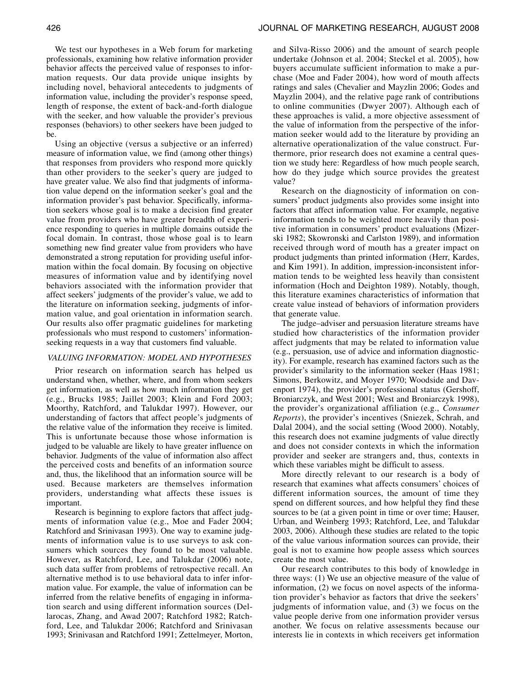We test our hypotheses in a Web forum for marketing professionals, examining how relative information provider behavior affects the perceived value of responses to information requests. Our data provide unique insights by including novel, behavioral antecedents to judgments of information value, including the provider's response speed, length of response, the extent of back-and-forth dialogue with the seeker, and how valuable the provider's previous responses (behaviors) to other seekers have been judged to be.

Using an objective (versus a subjective or an inferred) measure of information value, we find (among other things) that responses from providers who respond more quickly than other providers to the seeker's query are judged to have greater value. We also find that judgments of information value depend on the information seeker's goal and the information provider's past behavior. Specifically, information seekers whose goal is to make a decision find greater value from providers who have greater breadth of experience responding to queries in multiple domains outside the focal domain. In contrast, those whose goal is to learn something new find greater value from providers who have demonstrated a strong reputation for providing useful information within the focal domain. By focusing on objective measures of information value and by identifying novel behaviors associated with the information provider that affect seekers' judgments of the provider's value, we add to the literature on information seeking, judgments of information value, and goal orientation in information search. Our results also offer pragmatic guidelines for marketing professionals who must respond to customers' informationseeking requests in a way that customers find valuable.

## *VALUING INFORMATION: MODEL AND HYPOTHESES*

Prior research on information search has helped us understand when, whether, where, and from whom seekers get information, as well as how much information they get (e.g., Brucks 1985; Jaillet 2003; Klein and Ford 2003; Moorthy, Ratchford, and Talukdar 1997). However, our understanding of factors that affect people's judgments of the relative value of the information they receive is limited. This is unfortunate because those whose information is judged to be valuable are likely to have greater influence on behavior. Judgments of the value of information also affect the perceived costs and benefits of an information source and, thus, the likelihood that an information source will be used. Because marketers are themselves information providers, understanding what affects these issues is important.

Research is beginning to explore factors that affect judgments of information value (e.g., Moe and Fader 2004; Ratchford and Srinivasan 1993). One way to examine judgments of information value is to use surveys to ask consumers which sources they found to be most valuable. However, as Ratchford, Lee, and Talukdar (2006) note, such data suffer from problems of retrospective recall. An alternative method is to use behavioral data to infer information value. For example, the value of information can be inferred from the relative benefits of engaging in information search and using different information sources (Dellarocas, Zhang, and Awad 2007; Ratchford 1982; Ratchford, Lee, and Talukdar 2006; Ratchford and Srinivasan 1993; Srinivasan and Ratchford 1991; Zettelmeyer, Morton, and Silva-Risso 2006) and the amount of search people undertake (Johnson et al. 2004; Steckel et al. 2005), how buyers accumulate sufficient information to make a purchase (Moe and Fader 2004), how word of mouth affects ratings and sales (Chevalier and Mayzlin 2006; Godes and Mayzlin 2004), and the relative page rank of contributions to online communities (Dwyer 2007). Although each of these approaches is valid, a more objective assessment of the value of information from the perspective of the information seeker would add to the literature by providing an alternative operationalization of the value construct. Furthermore, prior research does not examine a central question we study here: Regardless of how much people search, how do they judge which source provides the greatest value?

Research on the diagnosticity of information on consumers' product judgments also provides some insight into factors that affect information value. For example, negative information tends to be weighted more heavily than positive information in consumers' product evaluations (Mizerski 1982; Skowronski and Carlston 1989), and information received through word of mouth has a greater impact on product judgments than printed information (Herr, Kardes, and Kim 1991). In addition, impression-inconsistent information tends to be weighted less heavily than consistent information (Hoch and Deighton 1989). Notably, though, this literature examines characteristics of information that create value instead of behaviors of information providers that generate value.

The judge–adviser and persuasion literature streams have studied how characteristics of the information provider affect judgments that may be related to information value (e.g., persuasion, use of advice and information diagnosticity). For example, research has examined factors such as the provider's similarity to the information seeker (Haas 1981; Simons, Berkowitz, and Moyer 1970; Woodside and Davenport 1974), the provider's professional status (Gershoff, Broniarczyk, and West 2001; West and Broniarczyk 1998), the provider's organizational affiliation (e.g., *Consumer Reports*), the provider's incentives (Sniezek, Schrah, and Dalal 2004), and the social setting (Wood 2000). Notably, this research does not examine judgments of value directly and does not consider contexts in which the information provider and seeker are strangers and, thus, contexts in which these variables might be difficult to assess.

More directly relevant to our research is a body of research that examines what affects consumers' choices of different information sources, the amount of time they spend on different sources, and how helpful they find these sources to be (at a given point in time or over time; Hauser, Urban, and Weinberg 1993; Ratchford, Lee, and Talukdar 2003, 2006). Although these studies are related to the topic of the value various information sources can provide, their goal is not to examine how people assess which sources create the most value.

Our research contributes to this body of knowledge in three ways: (1) We use an objective measure of the value of information, (2) we focus on novel aspects of the information provider's behavior as factors that drive the seekers' judgments of information value, and (3) we focus on the value people derive from one information provider versus another. We focus on relative assessments because our interests lie in contexts in which receivers get information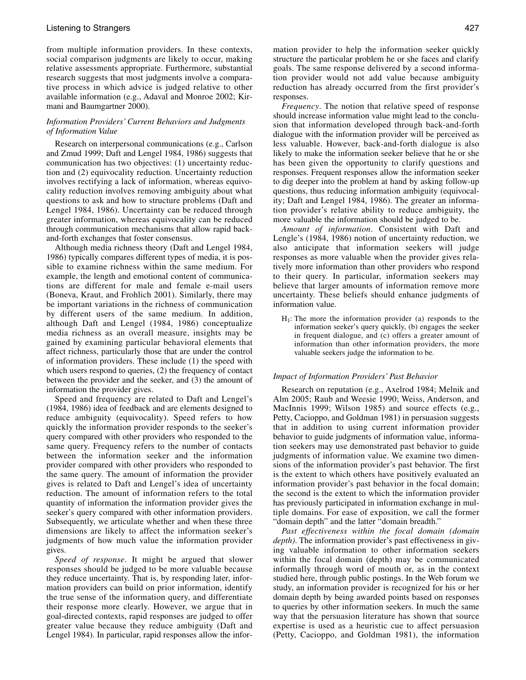from multiple information providers. In these contexts, social comparison judgments are likely to occur, making relative assessments appropriate. Furthermore, substantial research suggests that most judgments involve a comparative process in which advice is judged relative to other available information (e.g., Adaval and Monroe 2002; Kirmani and Baumgartner 2000).

# *Information Providers' Current Behaviors and Judgments of Information Value*

Research on interpersonal communications (e.g., Carlson and Zmud 1999; Daft and Lengel 1984, 1986) suggests that communication has two objectives: (1) uncertainty reduction and (2) equivocality reduction. Uncertainty reduction involves rectifying a lack of information, whereas equivocality reduction involves removing ambiguity about what questions to ask and how to structure problems (Daft and Lengel 1984, 1986). Uncertainty can be reduced through greater information, whereas equivocality can be reduced through communication mechanisms that allow rapid backand-forth exchanges that foster consensus.

Although media richness theory (Daft and Lengel 1984, 1986) typically compares different types of media, it is possible to examine richness within the same medium. For example, the length and emotional content of communications are different for male and female e-mail users (Boneva, Kraut, and Frohlich 2001). Similarly, there may be important variations in the richness of communication by different users of the same medium. In addition, although Daft and Lengel (1984, 1986) conceptualize media richness as an overall measure, insights may be gained by examining particular behavioral elements that affect richness, particularly those that are under the control of information providers. These include (1) the speed with which users respond to queries, (2) the frequency of contact between the provider and the seeker, and (3) the amount of information the provider gives.

Speed and frequency are related to Daft and Lengel's (1984, 1986) idea of feedback and are elements designed to reduce ambiguity (equivocality). Speed refers to how quickly the information provider responds to the seeker's query compared with other providers who responded to the same query. Frequency refers to the number of contacts between the information seeker and the information provider compared with other providers who responded to the same query. The amount of information the provider gives is related to Daft and Lengel's idea of uncertainty reduction. The amount of information refers to the total quantity of information the information provider gives the seeker's query compared with other information providers. Subsequently, we articulate whether and when these three dimensions are likely to affect the information seeker's judgments of how much value the information provider gives.

*Speed of response*. It might be argued that slower responses should be judged to be more valuable because they reduce uncertainty. That is, by responding later, information providers can build on prior information, identify the true sense of the information query, and differentiate their response more clearly. However, we argue that in goal-directed contexts, rapid responses are judged to offer greater value because they reduce ambiguity (Daft and Lengel 1984). In particular, rapid responses allow the infor-

mation provider to help the information seeker quickly structure the particular problem he or she faces and clarify goals. The same response delivered by a second information provider would not add value because ambiguity reduction has already occurred from the first provider's responses.

*Frequency*. The notion that relative speed of response should increase information value might lead to the conclusion that information developed through back-and-forth dialogue with the information provider will be perceived as less valuable. However, back-and-forth dialogue is also likely to make the information seeker believe that he or she has been given the opportunity to clarify questions and responses. Frequent responses allow the information seeker to dig deeper into the problem at hand by asking follow-up questions, thus reducing information ambiguity (equivocality; Daft and Lengel 1984, 1986). The greater an information provider's relative ability to reduce ambiguity, the more valuable the information should be judged to be.

*Amount of information*. Consistent with Daft and Lengle's (1984, 1986) notion of uncertainty reduction, we also anticipate that information seekers will judge responses as more valuable when the provider gives relatively more information than other providers who respond to their query. In particular, information seekers may believe that larger amounts of information remove more uncertainty. These beliefs should enhance judgments of information value.

 $H<sub>1</sub>$ : The more the information provider (a) responds to the information seeker's query quickly, (b) engages the seeker in frequent dialogue, and (c) offers a greater amount of information than other information providers, the more valuable seekers judge the information to be.

### *Impact of Information Providers' Past Behavior*

Research on reputation (e.g., Axelrod 1984; Melnik and Alm 2005; Raub and Weesie 1990; Weiss, Anderson, and MacInnis 1999; Wilson 1985) and source effects (e.g., Petty, Cacioppo, and Goldman 1981) in persuasion suggests that in addition to using current information provider behavior to guide judgments of information value, information seekers may use demonstrated past behavior to guide judgments of information value. We examine two dimensions of the information provider's past behavior. The first is the extent to which others have positively evaluated an information provider's past behavior in the focal domain; the second is the extent to which the information provider has previously participated in information exchange in multiple domains. For ease of exposition, we call the former "domain depth" and the latter "domain breadth."

*Past effectiveness within the focal domain (domain depth)*. The information provider's past effectiveness in giving valuable information to other information seekers within the focal domain (depth) may be communicated informally through word of mouth or, as in the context studied here, through public postings. In the Web forum we study, an information provider is recognized for his or her domain depth by being awarded points based on responses to queries by other information seekers. In much the same way that the persuasion literature has shown that source expertise is used as a heuristic cue to affect persuasion (Petty, Cacioppo, and Goldman 1981), the information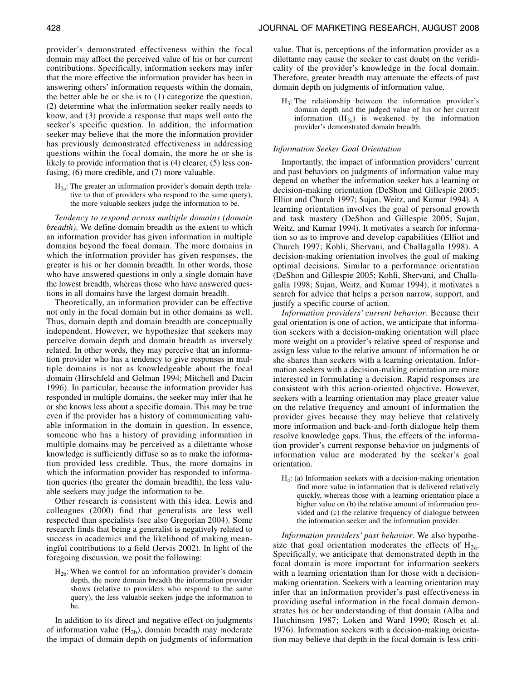provider's demonstrated effectiveness within the focal domain may affect the perceived value of his or her current contributions. Specifically, information seekers may infer that the more effective the information provider has been in answering others' information requests within the domain, the better able he or she is to (1) categorize the question, (2) determine what the information seeker really needs to know, and (3) provide a response that maps well onto the seeker's specific question. In addition, the information seeker may believe that the more the information provider has previously demonstrated effectiveness in addressing questions within the focal domain, the more he or she is likely to provide information that is (4) clearer, (5) less confusing, (6) more credible, and (7) more valuable.

 $H_{2a}$ : The greater an information provider's domain depth (relative to that of providers who respond to the same query), the more valuable seekers judge the information to be.

*Tendency to respond across multiple domains (domain breadth)*. We define domain breadth as the extent to which an information provider has given information in multiple domains beyond the focal domain. The more domains in which the information provider has given responses, the greater is his or her domain breadth. In other words, those who have answered questions in only a single domain have the lowest breadth, whereas those who have answered questions in all domains have the largest domain breadth.

Theoretically, an information provider can be effective not only in the focal domain but in other domains as well. Thus, domain depth and domain breadth are conceptually independent. However, we hypothesize that seekers may perceive domain depth and domain breadth as inversely related. In other words, they may perceive that an information provider who has a tendency to give responses in multiple domains is not as knowledgeable about the focal domain (Hirschfeld and Gelman 1994; Mitchell and Dacin 1996). In particular, because the information provider has responded in multiple domains, the seeker may infer that he or she knows less about a specific domain. This may be true even if the provider has a history of communicating valuable information in the domain in question. In essence, someone who has a history of providing information in multiple domains may be perceived as a dilettante whose knowledge is sufficiently diffuse so as to make the information provided less credible. Thus, the more domains in which the information provider has responded to information queries (the greater the domain breadth), the less valuable seekers may judge the information to be.

Other research is consistent with this idea. Lewis and colleagues (2000) find that generalists are less well respected than specialists (see also Gregorian 2004). Some research finds that being a generalist is negatively related to success in academics and the likelihood of making meaningful contributions to a field (Jervis 2002). In light of the foregoing discussion, we posit the following:

 $H_{2b}$ : When we control for an information provider's domain depth, the more domain breadth the information provider shows (relative to providers who respond to the same query), the less valuable seekers judge the information to be.

In addition to its direct and negative effect on judgments of information value  $(H_{2b})$ , domain breadth may moderate the impact of domain depth on judgments of information value. That is, perceptions of the information provider as a dilettante may cause the seeker to cast doubt on the veridicality of the provider's knowledge in the focal domain. Therefore, greater breadth may attenuate the effects of past domain depth on judgments of information value.

 $H_3$ : The relationship between the information provider's domain depth and the judged value of his or her current information  $(H_{2a})$  is weakened by the information provider's demonstrated domain breadth.

### *Information Seeker Goal Orientation*

Importantly, the impact of information providers' current and past behaviors on judgments of information value may depend on whether the information seeker has a learning or decision-making orientation (DeShon and Gillespie 2005; Elliot and Church 1997; Sujan, Weitz, and Kumar 1994). A learning orientation involves the goal of personal growth and task mastery (DeShon and Gillespie 2005; Sujan, Weitz, and Kumar 1994). It motivates a search for information so as to improve and develop capabilities (Elliot and Church 1997; Kohli, Shervani, and Challagalla 1998). A decision-making orientation involves the goal of making optimal decisions. Similar to a performance orientation (DeShon and Gillespie 2005; Kohli, Shervani, and Challagalla 1998; Sujan, Weitz, and Kumar 1994), it motivates a search for advice that helps a person narrow, support, and justify a specific course of action.

*Information providers' current behavior*. Because their goal orientation is one of action, we anticipate that information seekers with a decision-making orientation will place more weight on a provider's relative speed of response and assign less value to the relative amount of information he or she shares than seekers with a learning orientation. Information seekers with a decision-making orientation are more interested in formulating a decision. Rapid responses are consistent with this action-oriented objective. However, seekers with a learning orientation may place greater value on the relative frequency and amount of information the provider gives because they may believe that relatively more information and back-and-forth dialogue help them resolve knowledge gaps. Thus, the effects of the information provider's current response behavior on judgments of information value are moderated by the seeker's goal orientation.

H4: (a) Information seekers with a decision-making orientation find more value in information that is delivered relatively quickly, whereas those with a learning orientation place a higher value on (b) the relative amount of information provided and (c) the relative frequency of dialogue between the information seeker and the information provider.

*Information providers' past behavior*. We also hypothesize that goal orientation moderates the effects of  $H_{2a}$ . Specifically, we anticipate that demonstrated depth in the focal domain is more important for information seekers with a learning orientation than for those with a decisionmaking orientation. Seekers with a learning orientation may infer that an information provider's past effectiveness in providing useful information in the focal domain demonstrates his or her understanding of that domain (Alba and Hutchinson 1987; Loken and Ward 1990; Rosch et al. 1976). Information seekers with a decision-making orientation may believe that depth in the focal domain is less criti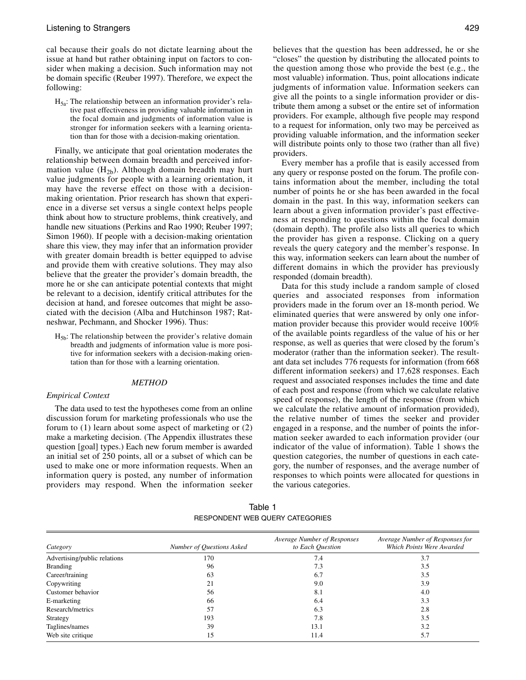cal because their goals do not dictate learning about the issue at hand but rather obtaining input on factors to consider when making a decision. Such information may not be domain specific (Reuber 1997). Therefore, we expect the following:

 $H_{5a}$ : The relationship between an information provider's relative past effectiveness in providing valuable information in the focal domain and judgments of information value is stronger for information seekers with a learning orientation than for those with a decision-making orientation.

Finally, we anticipate that goal orientation moderates the relationship between domain breadth and perceived information value  $(H_{2b})$ . Although domain breadth may hurt value judgments for people with a learning orientation, it may have the reverse effect on those with a decisionmaking orientation. Prior research has shown that experience in a diverse set versus a single context helps people think about how to structure problems, think creatively, and handle new situations (Perkins and Rao 1990; Reuber 1997; Simon 1960). If people with a decision-making orientation share this view, they may infer that an information provider with greater domain breadth is better equipped to advise and provide them with creative solutions. They may also believe that the greater the provider's domain breadth, the more he or she can anticipate potential contexts that might be relevant to a decision, identify critical attributes for the decision at hand, and foresee outcomes that might be associated with the decision (Alba and Hutchinson 1987; Ratneshwar, Pechmann, and Shocker 1996). Thus:

H5b: The relationship between the provider's relative domain breadth and judgments of information value is more positive for information seekers with a decision-making orientation than for those with a learning orientation.

# *METHOD*

# *Empirical Context*

The data used to test the hypotheses come from an online discussion forum for marketing professionals who use the forum to (1) learn about some aspect of marketing or (2) make a marketing decision. (The Appendix illustrates these question [goal] types.) Each new forum member is awarded an initial set of 250 points, all or a subset of which can be used to make one or more information requests. When an information query is posted, any number of information providers may respond. When the information seeker

believes that the question has been addressed, he or she "closes" the question by distributing the allocated points to the question among those who provide the best (e.g., the most valuable) information. Thus, point allocations indicate judgments of information value. Information seekers can give all the points to a single information provider or distribute them among a subset or the entire set of information providers. For example, although five people may respond to a request for information, only two may be perceived as providing valuable information, and the information seeker will distribute points only to those two (rather than all five) providers.

Every member has a profile that is easily accessed from any query or response posted on the forum. The profile contains information about the member, including the total number of points he or she has been awarded in the focal domain in the past. In this way, information seekers can learn about a given information provider's past effectiveness at responding to questions within the focal domain (domain depth). The profile also lists all queries to which the provider has given a response. Clicking on a query reveals the query category and the member's response. In this way, information seekers can learn about the number of different domains in which the provider has previously responded (domain breadth).

Data for this study include a random sample of closed queries and associated responses from information providers made in the forum over an 18-month period. We eliminated queries that were answered by only one information provider because this provider would receive 100% of the available points regardless of the value of his or her response, as well as queries that were closed by the forum's moderator (rather than the information seeker). The resultant data set includes 776 requests for information (from 668 different information seekers) and 17,628 responses. Each request and associated responses includes the time and date of each post and response (from which we calculate relative speed of response), the length of the response (from which we calculate the relative amount of information provided), the relative number of times the seeker and provider engaged in a response, and the number of points the information seeker awarded to each information provider (our indicator of the value of information). Table 1 shows the question categories, the number of questions in each category, the number of responses, and the average number of responses to which points were allocated for questions in the various categories.

| Table 1                         |  |
|---------------------------------|--|
| RESPONDENT WEB QUERY CATEGORIES |  |

| Category                     | Number of Questions Asked | Average Number of Responses<br>to Each Question | Average Number of Responses for<br>Which Points Were Awarded |
|------------------------------|---------------------------|-------------------------------------------------|--------------------------------------------------------------|
| Advertising/public relations | 170                       | 7.4                                             | 3.7                                                          |
| <b>Branding</b>              | 96                        | 7.3                                             | 3.5                                                          |
| Career/training              | 63                        | 6.7                                             | 3.5                                                          |
| Copywriting                  | 21                        | 9.0                                             | 3.9                                                          |
| Customer behavior            | 56                        | 8.1                                             | 4.0                                                          |
| E-marketing                  | 66                        | 6.4                                             | 3.3                                                          |
| Research/metrics             | 57                        | 6.3                                             | 2.8                                                          |
| Strategy                     | 193                       | 7.8                                             | 3.5                                                          |
| Taglines/names               | 39                        | 13.1                                            | 3.2                                                          |
| Web site critique            | 15                        | 11.4                                            | 5.7                                                          |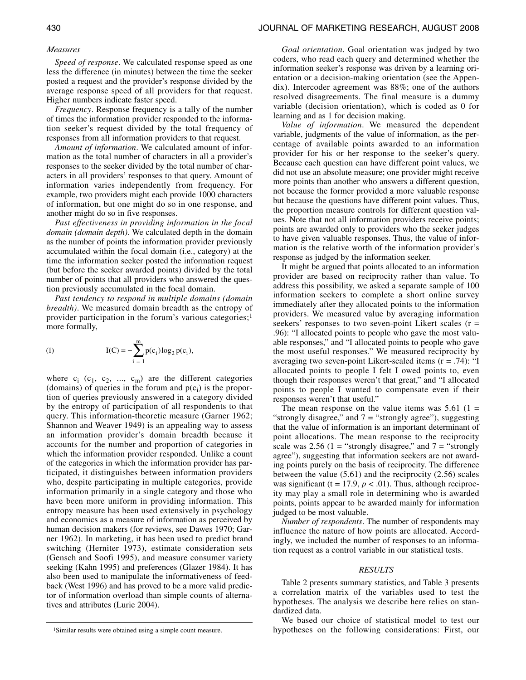# *Measures*

*Speed of response*. We calculated response speed as one less the difference (in minutes) between the time the seeker posted a request and the provider's response divided by the average response speed of all providers for that request. Higher numbers indicate faster speed.

*Frequency*. Response frequency is a tally of the number of times the information provider responded to the information seeker's request divided by the total frequency of responses from all information providers to that request.

*Amount of information*. We calculated amount of information as the total number of characters in all a provider's responses to the seeker divided by the total number of characters in all providers' responses to that query. Amount of information varies independently from frequency. For example, two providers might each provide 1000 characters of information, but one might do so in one response, and another might do so in five responses.

*Past effectiveness in providing information in the focal domain (domain depth)*. We calculated depth in the domain as the number of points the information provider previously accumulated within the focal domain (i.e., category) at the time the information seeker posted the information request (but before the seeker awarded points) divided by the total number of points that all providers who answered the question previously accumulated in the focal domain.

*Past tendency to respond in multiple domains (domain breadth)*. We measured domain breadth as the entropy of provider participation in the forum's various categories;1 more formally,

(1) 
$$
I(C) = -\sum_{i=1}^{m} p(c_i) \log_2 p(c_i),
$$

where  $c_i$  ( $c_1$ ,  $c_2$ , ...,  $c_m$ ) are the different categories (domains) of queries in the forum and  $p(c_i)$  is the proportion of queries previously answered in a category divided by the entropy of participation of all respondents to that query. This information-theoretic measure (Garner 1962; Shannon and Weaver 1949) is an appealing way to assess an information provider's domain breadth because it accounts for the number and proportion of categories in which the information provider responded. Unlike a count of the categories in which the information provider has participated, it distinguishes between information providers who, despite participating in multiple categories, provide information primarily in a single category and those who have been more uniform in providing information. This entropy measure has been used extensively in psychology and economics as a measure of information as perceived by human decision makers (for reviews, see Dawes 1970; Garner 1962). In marketing, it has been used to predict brand switching (Herniter 1973), estimate consideration sets (Gensch and Soofi 1995), and measure consumer variety seeking (Kahn 1995) and preferences (Glazer 1984). It has also been used to manipulate the informativeness of feedback (West 1996) and has proved to be a more valid predictor of information overload than simple counts of alternatives and attributes (Lurie 2004).

1Similar results were obtained using a simple count measure.

*Goal orientation*. Goal orientation was judged by two coders, who read each query and determined whether the information seeker's response was driven by a learning orientation or a decision-making orientation (see the Appendix). Intercoder agreement was 88%; one of the authors resolved disagreements. The final measure is a dummy variable (decision orientation), which is coded as 0 for learning and as 1 for decision making.

*Value of information*. We measured the dependent variable, judgments of the value of information, as the percentage of available points awarded to an information provider for his or her response to the seeker's query. Because each question can have different point values, we did not use an absolute measure; one provider might receive more points than another who answers a different question, not because the former provided a more valuable response but because the questions have different point values. Thus, the proportion measure controls for different question values. Note that not all information providers receive points; points are awarded only to providers who the seeker judges to have given valuable responses. Thus, the value of information is the relative worth of the information provider's response as judged by the information seeker.

It might be argued that points allocated to an information provider are based on reciprocity rather than value. To address this possibility, we asked a separate sample of 100 information seekers to complete a short online survey immediately after they allocated points to the information providers. We measured value by averaging information seekers' responses to two seven-point Likert scales  $(r =$ .96): "I allocated points to people who gave the most valuable responses," and "I allocated points to people who gave the most useful responses." We measured reciprocity by averaging two seven-point Likert-scaled items (r = .74): "I allocated points to people I felt I owed points to, even though their responses weren't that great," and "I allocated points to people I wanted to compensate even if their responses weren't that useful."

The mean response on the value items was  $5.61$  (1 = "strongly disagree," and  $7 =$  "strongly agree"), suggesting that the value of information is an important determinant of point allocations. The mean response to the reciprocity scale was 2.56 (1 = "strongly disagree," and  $7 =$  "strongly" agree"), suggesting that information seekers are not awarding points purely on the basis of reciprocity. The difference between the value (5.61) and the reciprocity (2.56) scales was significant ( $t = 17.9$ ,  $p < .01$ ). Thus, although reciprocity may play a small role in determining who is awarded points, points appear to be awarded mainly for information judged to be most valuable.

*Number of respondents*. The number of respondents may influence the nature of how points are allocated. Accordingly, we included the number of responses to an information request as a control variable in our statistical tests.

#### *RESULTS*

Table 2 presents summary statistics, and Table 3 presents a correlation matrix of the variables used to test the hypotheses. The analysis we describe here relies on standardized data.

We based our choice of statistical model to test our hypotheses on the following considerations: First, our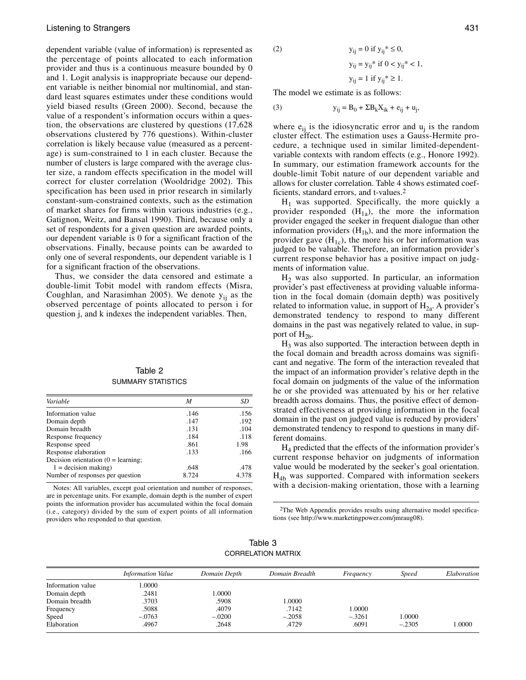dependent variable (value of information) is represented as the percentage of points allocated to each information provider and thus is a continuous measure bounded by 0 and 1. Logit analysis is inappropriate because our dependent variable is neither binomial nor multinomial, and standard least squares estimates under these conditions would yield biased results (Green 2000). Second, because the value of a respondent's information occurs within a question, the observations are clustered by questions (17,628 observations clustered by 776 questions). Within-cluster correlation is likely because value (measured as a percentage) is sum-constrained to 1 in each cluster. Because the number of clusters is large compared with the average cluster size, a random effects specification in the model will correct for cluster correlation (Wooldridge 2002). This specification has been used in prior research in similarly constant-sum-constrained contexts, such as the estimation of market shares for firms within various industries (e.g., Gatignon, Weitz, and Bansal 1990). Third, because only a set of respondents for a given question are awarded points, our dependent variable is 0 for a significant fraction of the observations. Finally, because points can be awarded to only one of several respondents, our dependent variable is 1 for a significant fraction of the observations.

Thus, we consider the data censored and estimate a double-limit Tobit model with random effects (Misra, Coughlan, and Narasimhan 2005). We denote  $y_{ii}$  as the observed percentage of points allocated to person i for question j, and k indexes the independent variables. Then,

| Table 2            |
|--------------------|
| SUMMARY STATISTICS |

| Variable                                | M     | SD    |
|-----------------------------------------|-------|-------|
| Information value                       | .146  | .156  |
| Domain depth                            | .147  | .192  |
| Domain breadth                          | .131  | .104  |
| Response frequency                      | .184  | .118  |
| Response speed                          | .861  | 1.98  |
| Response elaboration                    | .133  | .166  |
| Decision orientation $(0 = learning)$ ; |       |       |
| $1 =$ decision making)                  | .648  | .478  |
| Number of responses per question        | 8.724 | 4.378 |

Notes: All variables, except goal orientation and number of responses, are in percentage units. For example, domain depth is the number of expert points the information provider has accumulated within the focal domain (i.e., category) divided by the sum of expert points of all information providers who responded to that question.

$$
2) \qquad \qquad
$$

(2) 
$$
y_{ij} = 0
$$
 if  $y_{ij}^* \le 0$ ,  
\n $y_{ij} = y_{ij}^*$  if  $0 < y_{ij}^* < 1$ ,  
\n $y_{ij} = 1$  if  $y_{ij}^* \ge 1$ .

The model we estimate is as follows:

(3) 
$$
y_{ij} = B_0 + \Sigma B_k X_{ik} + e_{ij} + u_j
$$
,

where  $e_{ij}$  is the idiosyncratic error and  $u_i$  is the random cluster effect. The estimation uses a Gauss-Hermite procedure, a technique used in similar limited-dependentvariable contexts with random effects (e.g., Honore 1992). In summary, our estimation framework accounts for the double-limit Tobit nature of our dependent variable and allows for cluster correlation. Table 4 shows estimated coefficients, standard errors, and t-values.2

 $H<sub>1</sub>$  was supported. Specifically, the more quickly a provider responded  $(H_{1a})$ , the more the information provider engaged the seeker in frequent dialogue than other information providers  $(H_{1b})$ , and the more information the provider gave  $(H_{1c})$ , the more his or her information was judged to be valuable. Therefore, an information provider's current response behavior has a positive impact on judgments of information value.

 $H<sub>2</sub>$  was also supported. In particular, an information provider's past effectiveness at providing valuable information in the focal domain (domain depth) was positively related to information value, in support of  $H_{2a}$ . A provider's demonstrated tendency to respond to many different domains in the past was negatively related to value, in support of  $H_{2b}$ .

 $H<sub>3</sub>$  was also supported. The interaction between depth in the focal domain and breadth across domains was significant and negative. The form of the interaction revealed that the impact of an information provider's relative depth in the focal domain on judgments of the value of the information he or she provided was attenuated by his or her relative breadth across domains. Thus, the positive effect of demonstrated effectiveness at providing information in the focal domain in the past on judged value is reduced by providers' demonstrated tendency to respond to questions in many different domains.

 $H_4$  predicted that the effects of the information provider's current response behavior on judgments of information value would be moderated by the seeker's goal orientation.  $H_{4b}$  was supported. Compared with information seekers with a decision-making orientation, those with a learning

2The Web Appendix provides results using alternative model specifica[tions \(see http://www.marketingpower.com/jmraug08\).](http://www.marketingpower.com/jmraug08)

| Table 3                   |
|---------------------------|
| <b>CORRELATION MATRIX</b> |

|                   | <b>Information Value</b> | Domain Depth | Domain Breadth | Frequency | <b>Speed</b> | Elaboration |
|-------------------|--------------------------|--------------|----------------|-----------|--------------|-------------|
| Information value | .0000                    |              |                |           |              |             |
| Domain depth      | .2481                    | 1.0000       |                |           |              |             |
| Domain breadth    | .3703                    | .5908        | 1.0000         |           |              |             |
| Frequency         | .5088                    | .4079        | .7142          | 1.0000    |              |             |
| Speed             | $-.0763$                 | $-.0200$     | $-.2058$       | $-.3261$  | 1.0000       |             |
| Elaboration       | .4967                    | .2648        | .4729          | .6091     | $-.2305$     | 1.0000      |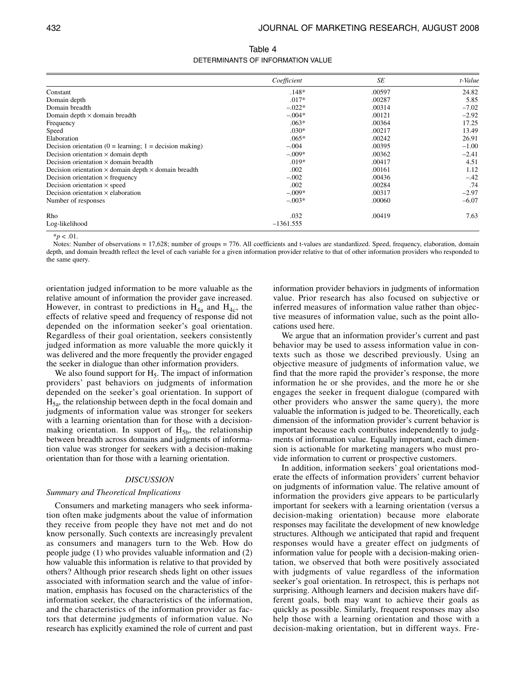| Table 4                           |
|-----------------------------------|
| DETERMINANTS OF INFORMATION VALUE |

|                                                                    | Coefficient | <b>SE</b> | t-Value |
|--------------------------------------------------------------------|-------------|-----------|---------|
| Constant                                                           | $.148*$     | .00597    | 24.82   |
| Domain depth                                                       | $.017*$     | .00287    | 5.85    |
| Domain breadth                                                     | $-.022*$    | .00314    | $-7.02$ |
| Domain depth $\times$ domain breadth                               | $-.004*$    | .00121    | $-2.92$ |
| Frequency                                                          | $.063*$     | .00364    | 17.25   |
| Speed                                                              | $.030*$     | .00217    | 13.49   |
| Elaboration                                                        | $.065*$     | .00242    | 26.91   |
| Decision orientation ( $0 =$ learning; 1 = decision making)        | $-.004$     | .00395    | $-1.00$ |
| Decision orientation $\times$ domain depth                         | $-.009*$    | .00362    | $-2.41$ |
| Decision orientation $\times$ domain breadth                       | $.019*$     | .00417    | 4.51    |
| Decision orientation $\times$ domain depth $\times$ domain breadth | .002        | .00161    | 1.12    |
| Decision orientation $\times$ frequency                            | $-.002$     | .00436    | $-.42$  |
| Decision orientation $\times$ speed                                | .002        | .00284    | .74     |
| Decision orientation $\times$ elaboration                          | $-.009*$    | .00317    | $-2.97$ |
| Number of responses                                                | $-.003*$    | .00060    | $-6.07$ |
| Rho                                                                | .032        | .00419    | 7.63    |
| Log-likelihood                                                     | $-1361.555$ |           |         |

 $*_{p}$  < .01.

Notes: Number of observations = 17,628; number of groups = 776. All coefficients and t-values are standardized. Speed, frequency, elaboration, domain depth, and domain breadth reflect the level of each variable for a given information provider relative to that of other information providers who responded to the same query.

orientation judged information to be more valuable as the relative amount of information the provider gave increased. However, in contrast to predictions in  $H_{4a}$  and  $H_{4c}$ , the effects of relative speed and frequency of response did not depended on the information seeker's goal orientation. Regardless of their goal orientation, seekers consistently judged information as more valuable the more quickly it was delivered and the more frequently the provider engaged the seeker in dialogue than other information providers.

We also found support for  $H<sub>5</sub>$ . The impact of information providers' past behaviors on judgments of information depended on the seeker's goal orientation. In support of  $H_{5a}$ , the relationship between depth in the focal domain and judgments of information value was stronger for seekers with a learning orientation than for those with a decisionmaking orientation. In support of  $H_{5b}$ , the relationship between breadth across domains and judgments of information value was stronger for seekers with a decision-making orientation than for those with a learning orientation.

### *DISCUSSION*

### *Summary and Theoretical Implications*

Consumers and marketing managers who seek information often make judgments about the value of information they receive from people they have not met and do not know personally. Such contexts are increasingly prevalent as consumers and managers turn to the Web. How do people judge (1) who provides valuable information and (2) how valuable this information is relative to that provided by others? Although prior research sheds light on other issues associated with information search and the value of information, emphasis has focused on the characteristics of the information seeker, the characteristics of the information, and the characteristics of the information provider as factors that determine judgments of information value. No research has explicitly examined the role of current and past information provider behaviors in judgments of information value. Prior research has also focused on subjective or inferred measures of information value rather than objective measures of information value, such as the point allocations used here.

We argue that an information provider's current and past behavior may be used to assess information value in contexts such as those we described previously. Using an objective measure of judgments of information value, we find that the more rapid the provider's response, the more information he or she provides, and the more he or she engages the seeker in frequent dialogue (compared with other providers who answer the same query), the more valuable the information is judged to be. Theoretically, each dimension of the information provider's current behavior is important because each contributes independently to judgments of information value. Equally important, each dimension is actionable for marketing managers who must provide information to current or prospective customers.

In addition, information seekers' goal orientations moderate the effects of information providers' current behavior on judgments of information value. The relative amount of information the providers give appears to be particularly important for seekers with a learning orientation (versus a decision-making orientation) because more elaborate responses may facilitate the development of new knowledge structures. Although we anticipated that rapid and frequent responses would have a greater effect on judgments of information value for people with a decision-making orientation, we observed that both were positively associated with judgments of value regardless of the information seeker's goal orientation. In retrospect, this is perhaps not surprising. Although learners and decision makers have different goals, both may want to achieve their goals as quickly as possible. Similarly, frequent responses may also help those with a learning orientation and those with a decision-making orientation, but in different ways. Fre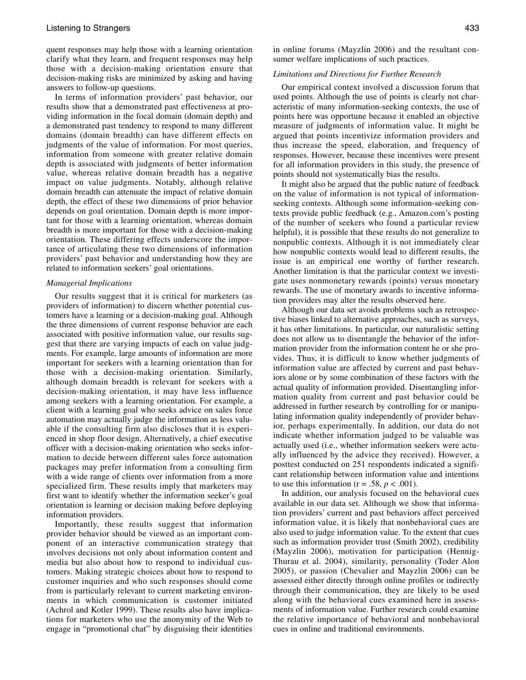quent responses may help those with a learning orientation clarify what they learn, and frequent responses may help those with a decision-making orientation ensure that decision-making risks are minimized by asking and having answers to follow-up questions.

In terms of information providers' past behavior, our results show that a demonstrated past effectiveness at providing information in the focal domain (domain depth) and a demonstrated past tendency to respond to many different domains (domain breadth) can have different effects on judgments of the value of information. For most queries, information from someone with greater relative domain depth is associated with judgments of better information value, whereas relative domain breadth has a negative impact on value judgments. Notably, although relative domain breadth can attenuate the impact of relative domain depth, the effect of these two dimensions of prior behavior depends on goal orientation. Domain depth is more important for those with a learning orientation, whereas domain breadth is more important for those with a decision-making orientation. These differing effects underscore the importance of articulating these two dimensions of information providers' past behavior and understanding how they are related to information seekers' goal orientations.

# *Managerial Implications*

Our results suggest that it is critical for marketers (as providers of information) to discern whether potential customers have a learning or a decision-making goal. Although the three dimensions of current response behavior are each associated with positive information value, our results suggest that there are varying impacts of each on value judgments. For example, large amounts of information are more important for seekers with a learning orientation than for those with a decision-making orientation. Similarly, although domain breadth is relevant for seekers with a decision-making orientation, it may have less influence among seekers with a learning orientation. For example, a client with a learning goal who seeks advice on sales force automation may actually judge the information as less valuable if the consulting firm also discloses that it is experienced in shop floor design. Alternatively, a chief executive officer with a decision-making orientation who seeks information to decide between different sales force automation packages may prefer information from a consulting firm with a wide range of clients over information from a more specialized firm. These results imply that marketers may first want to identify whether the information seeker's goal orientation is learning or decision making before deploying information providers.

Importantly, these results suggest that information provider behavior should be viewed as an important component of an interactive communication strategy that involves decisions not only about information content and media but also about how to respond to individual customers. Making strategic choices about how to respond to customer inquiries and who such responses should come from is particularly relevant to current marketing environments in which communication is customer initiated (Achrol and Kotler 1999). These results also have implications for marketers who use the anonymity of the Web to engage in "promotional chat" by disguising their identities

in online forums (Mayzlin 2006) and the resultant consumer welfare implications of such practices.

#### *Limitations and Directions for Further Research*

Our empirical context involved a discussion forum that used points. Although the use of points is clearly not characteristic of many information-seeking contexts, the use of points here was opportune because it enabled an objective measure of judgments of information value. It might be argued that points incentivize information providers and thus increase the speed, elaboration, and frequency of responses. However, because these incentives were present for all information providers in this study, the presence of points should not systematically bias the results.

It might also be argued that the public nature of feedback on the value of information is not typical of informationseeking contexts. Although some information-seeking contexts provide public feedback (e.g., Amazon.com's posting of the number of seekers who found a particular review helpful), it is possible that these results do not generalize to nonpublic contexts. Although it is not immediately clear how nonpublic contexts would lead to different results, the issue is an empirical one worthy of further research. Another limitation is that the particular context we investigate uses nonmonetary rewards (points) versus monetary rewards. The use of monetary awards to incentive information providers may alter the results observed here.

Although our data set avoids problems such as retrospective biases linked to alternative approaches, such as surveys, it has other limitations. In particular, our naturalistic setting does not allow us to disentangle the behavior of the information provider from the information content he or she provides. Thus, it is difficult to know whether judgments of information value are affected by current and past behaviors alone or by some combination of these factors with the actual quality of information provided. Disentangling information quality from current and past behavior could be addressed in further research by controlling for or manipulating information quality independently of provider behavior, perhaps experimentally. In addition, our data do not indicate whether information judged to be valuable was actually used (i.e., whether information seekers were actually influenced by the advice they received). However, a posttest conducted on 251 respondents indicated a significant relationship between information value and intentions to use this information ( $r = .58$ ,  $p < .001$ ).

In addition, our analysis focused on the behavioral cues available in our data set. Although we show that information providers' current and past behaviors affect perceived information value, it is likely that nonbehavioral cues are also used to judge information value. To the extent that cues such as information provider trust (Smith 2002), credibility (Mayzlin 2006), motivation for participation (Hennig-Thurau et al. 2004), similarity, personality (Toder Alon 2005), or passion (Chevalier and Mayzlin 2006) can be assessed either directly through online profiles or indirectly through their communication, they are likely to be used along with the behavioral cues examined here in assessments of information value. Further research could examine the relative importance of behavioral and nonbehavioral cues in online and traditional environments.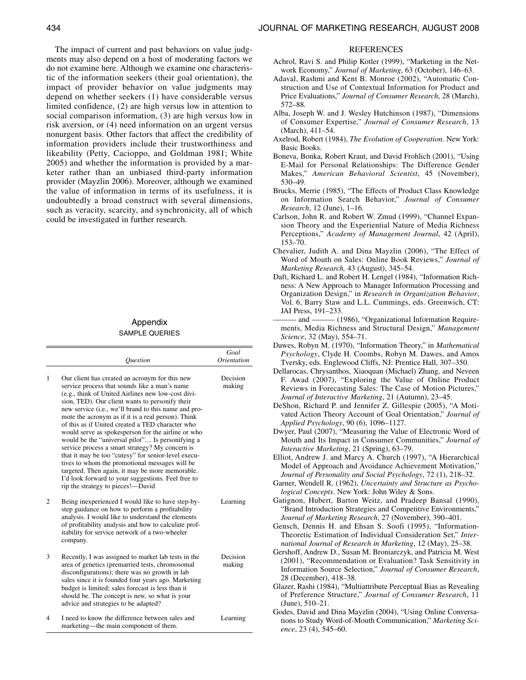The impact of current and past behaviors on value judgments may also depend on a host of moderating factors we do not examine here. Although we examine one characteristic of the information seekers (their goal orientation), the impact of provider behavior on value judgments may depend on whether seekers (1) have considerable versus limited confidence, (2) are high versus low in attention to social comparison information, (3) are high versus low in risk aversion, or (4) need information on an urgent versus nonurgent basis. Other factors that affect the credibility of information providers include their trustworthiness and likeability (Petty, Cacioppo, and Goldman 1981; White 2005) and whether the information is provided by a marketer rather than an unbiased third-party information provider (Mayzlin 2006). Moreover, although we examined the value of information in terms of its usefulness, it is undoubtedly a broad construct with several dimensions, such as veracity, scarcity, and synchronicity, all of which could be investigated in further research.

# Appendix SAMPLE QUERIES

|                |                                                                                                                                                                                                                                                                                                                                                                                                                                                                                                                                                                                                                                                                                                                                                                                                | Goal               |
|----------------|------------------------------------------------------------------------------------------------------------------------------------------------------------------------------------------------------------------------------------------------------------------------------------------------------------------------------------------------------------------------------------------------------------------------------------------------------------------------------------------------------------------------------------------------------------------------------------------------------------------------------------------------------------------------------------------------------------------------------------------------------------------------------------------------|--------------------|
|                | <b>Ouestion</b>                                                                                                                                                                                                                                                                                                                                                                                                                                                                                                                                                                                                                                                                                                                                                                                | Orientation        |
| 1              | Our client has created an acronym for this new<br>service process that sounds like a man's name<br>(e.g., think of United Airlines new low-cost divi-<br>sion, TED). Our client wants to personify their<br>new service (i.e., we'll brand to this name and pro-<br>mote the acronym as if it is a real person). Think<br>of this as if United created a TED character who<br>would serve as spokesperson for the airline or who<br>would be the "universal pilot" Is personifying a<br>service process a smart strategy? My concern is<br>that it may be too "cutesy" for senior-level execu-<br>tives to whom the promotional messages will be<br>targeted. Then again, it may be more memorable.<br>I'd look forward to your suggestions. Feel free to<br>rip the strategy to pieces!—David | Decision<br>making |
| $\overline{c}$ | Being inexperienced I would like to have step-by-<br>step guidance on how to perform a profitability<br>analysis. I would like to understand the elements<br>of profitability analysis and how to calculate prof-<br>itability for service network of a two-wheeler<br>company.                                                                                                                                                                                                                                                                                                                                                                                                                                                                                                                | Learning           |
| 3              | Recently, I was assigned to market lab tests in the<br>area of genetics (premarried tests, chromosomal<br>disconfigurations); there was no growth in lab<br>sales since it is founded four years ago. Marketing<br>budget is limited; sales forecast is less than it<br>should be. The concept is new, so what is your<br>advice and strategies to be adapted?                                                                                                                                                                                                                                                                                                                                                                                                                                 | Decision<br>making |
| 4              | I need to know the difference between sales and<br>marketing—the main component of them.                                                                                                                                                                                                                                                                                                                                                                                                                                                                                                                                                                                                                                                                                                       | Learning           |

#### REFERENCES

- Achrol, Ravi S. and Philip Kotler (1999), "Marketing in the Network Economy," *Journal of Marketing*, 63 (October), 146–63.
- Adaval, Rashmi and Kent B. Monroe (2002), "Automatic Construction and Use of Contextual Information for Product and Price Evaluations," *Journal of Consumer Research*, 28 (March), 572–88.
- Alba, Joseph W. and J. Wesley Hutchinson (1987), "Dimensions of Consumer Expertise," *Journal of Consumer Research*, 13 (March), 411–54.
- Axelrod, Robert (1984), *The Evolution of Cooperation*. New York: Basic Books.
- Boneva, Bonka, Robert Kraut, and David Frohlich (2001), "Using E-Mail for Personal Relationships: The Difference Gender Makes," *American Behavioral Scientist*, 45 (November), 530–49.
- Brucks, Merrie (1985), "The Effects of Product Class Knowledge on Information Search Behavior," *Journal of Consumer Research*, 12 (June), 1–16.
- Carlson, John R. and Robert W. Zmud (1999), "Channel Expansion Theory and the Experiential Nature of Media Richness Perceptions," *Academy of Management Journal*, 42 (April), 153–70.
- Chevalier, Judith A. and Dina Mayzlin (2006), "The Effect of Word of Mouth on Sales: Online Book Reviews," *Journal of Marketing Research,* 43 (August), 345–54.
- Daft, Richard L. and Robert H. Lengel (1984), "Information Richness: A New Approach to Manager Information Processing and Organization Design," in *Research in Organization Behavior*, Vol. 6, Barry Staw and L.L. Cummings, eds. Greenwich, CT: JAI Press, 191–233.
- ——— and ——— (1986), "Organizational Information Requirements, Media Richness and Structural Design," *Management Science*, 32 (May), 554–71.
- Dawes, Robyn M. (1970), "Information Theory," in *Mathematical Psychology*, Clyde H. Coombs, Robyn M. Dawes, and Amos Tversky, eds. Englewood Cliffs, NJ: Prentice Hall, 307–350.
- Dellarocas, Chrysanthos, Xiaoquan (Michael) Zhang, and Neveen F. Awad (2007), "Exploring the Value of Online Product Reviews in Forecasting Sales: The Case of Motion Pictures," *Journal of Interactive Marketing*, 21 (Autumn), 23–45.
- DeShon, Richard P. and Jennifer Z. Gillespie (2005), "A Motivated Action Theory Account of Goal Orientation," *Journal of Applied Psychology*, 90 (6), 1096–1127.
- Dwyer, Paul (2007), "Measuring the Value of Electronic Word of Mouth and Its Impact in Consumer Communities," *Journal of Interactive Marketing*, 21 (Spring), 63–79.
- Elliot, Andrew J. and Marcy A. Church (1997), "A Hierarchical Model of Approach and Avoidance Achievement Motivation," *Journal of Personality and Social Psychology*, 72 (1), 218–32.
- Garner, Wendell R. (1962), *Uncertainty and Structure as Psychological Concepts*. New York: John Wiley & Sons.
- Gatignon, Hubert, Barton Weitz, and Pradeep Bansal (1990), "Brand Introduction Strategies and Competitive Environments," *Journal of Marketing Research*, 27 (November), 390–401.
- Gensch, Dennis H. and Ehsan S. Soofi (1995), "Information-Theoretic Estimation of Individual Consideration Set," *International Journal of Research in Marketing*, 12 (May), 25–38.
- Gershoff, Andrew D., Susan M. Broniarczyk, and Patricia M. West (2001), "Recommendation or Evaluation? Task Sensitivity in Information Source Selection," *Journal of Consumer Research*, 28 (December), 418–38.
- Glazer, Rashi (1984), "Multiattribute Perceptual Bias as Revealing of Preference Structure," *Journal of Consumer Research*, 11 (June), 510–21.
- Godes, David and Dina Mayzlin (2004), "Using Online Conversations to Study Word-of-Mouth Communication," *Marketing Science*, 23 (4), 545–60.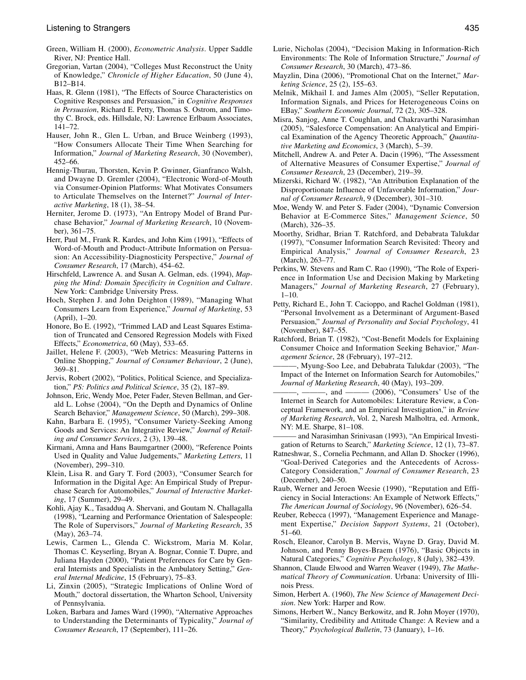- Green, William H. (2000), *Econometric Analysis*. Upper Saddle River, NJ: Prentice Hall.
- Gregorian, Vartan (2004), "Colleges Must Reconstruct the Unity of Knowledge," *Chronicle of Higher Education*, 50 (June 4), B12–B14.
- Haas, R. Glenn (1981), "The Effects of Source Characteristics on Cognitive Responses and Persuasion," in *Cognitive Responses in Persuasion*, Richard E. Petty, Thomas S. Ostrom, and Timothy C. Brock, eds. Hillsdale, NJ: Lawrence Erlbaum Associates, 141–72.
- Hauser, John R., Glen L. Urban, and Bruce Weinberg (1993), "How Consumers Allocate Their Time When Searching for Information," *Journal of Marketing Research*, 30 (November), 452–66.
- Hennig-Thurau, Thorsten, Kevin P. Gwinner, Gianfranco Walsh, and Dwayne D. Gremler (2004), "Electronic Word-of-Mouth via Consumer-Opinion Platforms: What Motivates Consumers to Articulate Themselves on the Internet?" *Journal of Interactive Marketing*, 18 (1), 38–54.
- Herniter, Jerome D. (1973), "An Entropy Model of Brand Purchase Behavior," *Journal of Marketing Research*, 10 (November), 361–75.
- Herr, Paul M., Frank R. Kardes, and John Kim (1991), "Effects of Word-of-Mouth and Product-Attribute Information on Persuasion: An Accessibility-Diagnosticity Perspective," *Journal of Consumer Research*, 17 (March), 454–62.
- Hirschfeld, Lawrence A. and Susan A. Gelman, eds. (1994), *Mapping the Mind: Domain Specificity in Cognition and Culture*. New York: Cambridge University Press.
- Hoch, Stephen J. and John Deighton (1989), "Managing What Consumers Learn from Experience," *Journal of Marketing*, 53 (April), 1–20.
- Honore, Bo E. (1992), "Trimmed LAD and Least Squares Estimation of Truncated and Censored Regression Models with Fixed Effects," *Econometrica*, 60 (May), 533–65.
- Jaillet, Helene F. (2003), "Web Metrics: Measuring Patterns in Online Shopping," *Journal of Consumer Behaviour*, 2 (June), 369–81.
- Jervis, Robert (2002), "Politics, Political Science, and Specialization," *PS: Politics and Political Science*, 35 (2), 187–89.
- Johnson, Eric, Wendy Moe, Peter Fader, Steven Bellman, and Gerald L. Lohse (2004), "On the Depth and Dynamics of Online Search Behavior," *Management Science*, 50 (March), 299–308.
- Kahn, Barbara E. (1995), "Consumer Variety-Seeking Among Goods and Services: An Integrative Review," *Journal of Retailing and Consumer Services*, 2 (3), 139–48.
- Kirmani, Amna and Hans Baumgartner (2000), "Reference Points Used in Quality and Value Judgements," *Marketing Letters*, 11 (November), 299–310.
- Klein, Lisa R. and Gary T. Ford (2003), "Consumer Search for Information in the Digital Age: An Empirical Study of Prepurchase Search for Automobiles," *Journal of Interactive Marketing*, 17 (Summer), 29–49.
- Kohli, Ajay K., Tasadduq A. Shervani, and Goutam N. Challagalla (1998), "Learning and Performance Orientation of Salespeople: The Role of Supervisors," *Journal of Marketing Research*, 35 (May), 263–74.
- Lewis, Carmen L., Glenda C. Wickstrom, Maria M. Kolar, Thomas C. Keyserling, Bryan A. Bognar, Connie T. Dupre, and Juliana Hayden (2000), "Patient Preferences for Care by General Internists and Specialists in the Ambulatory Setting," *General Internal Medicine*, 15 (February), 75–83.
- Li, Zinxin (2005), "Strategic Implications of Online Word of Mouth," doctoral dissertation, the Wharton School, University of Pennsylvania.
- Loken, Barbara and James Ward (1990), "Alternative Approaches to Understanding the Determinants of Typicality," *Journal of Consumer Research*, 17 (September), 111–26.
- Lurie, Nicholas (2004), "Decision Making in Information-Rich Environments: The Role of Information Structure," *Journal of Consumer Research*, 30 (March), 473–86.
- Mayzlin, Dina (2006), "Promotional Chat on the Internet," *Marketing Science*, 25 (2), 155–63.
- Melnik, Mikhail I. and James Alm (2005), "Seller Reputation, Information Signals, and Prices for Heterogeneous Coins on EBay," *Southern Economic Journal*, 72 (2), 305–328.
- Misra, Sanjog, Anne T. Coughlan, and Chakravarthi Narasimhan (2005), "Salesforce Compensation: An Analytical and Empirical Examination of the Agency Theoretic Approach," *Quantitative Marketing and Economics*, 3 (March), 5–39.
- Mitchell, Andrew A. and Peter A. Dacin (1996), "The Assessment of Alternative Measures of Consumer Expertise," *Journal of Consumer Research*, 23 (December), 219–39.
- Mizerski, Richard W. (1982), "An Attribution Explanation of the Disproportionate Influence of Unfavorable Information," *Journal of Consumer Research*, 9 (December), 301–310.
- Moe, Wendy W. and Peter S. Fader (2004), "Dynamic Conversion Behavior at E-Commerce Sites," *Management Science*, 50 (March), 326–35.
- Moorthy, Sridhar, Brian T. Ratchford, and Debabrata Talukdar (1997), "Consumer Information Search Revisited: Theory and Empirical Analysis," *Journal of Consumer Research*, 23 (March), 263–77.
- Perkins, W. Stevens and Ram C. Rao (1990), "The Role of Experience in Information Use and Decision Making by Marketing Managers," *Journal of Marketing Research*, 27 (February),  $1-10$ .
- Petty, Richard E., John T. Cacioppo, and Rachel Goldman (1981), "Personal Involvement as a Determinant of Argument-Based Persuasion," *Journal of Personality and Social Psychology*, 41 (November), 847–55.
- Ratchford, Brian T. (1982), "Cost-Benefit Models for Explaining Consumer Choice and Information Seeking Behavior," *Management Science*, 28 (February), 197–212.
- ———, Myung-Soo Lee, and Debabrata Talukdar (2003), "The Impact of the Internet on Information Search for Automobiles," *Journal of Marketing Research*, 40 (May), 193–209.
- $-$ , and  $-\cdots$  (2006), "Consumers' Use of the Internet in Search for Automobiles: Literature Review, a Conceptual Framework, and an Empirical Investigation," in *Review of Marketing Research*, Vol. 2, Naresh Malholtra, ed. Armonk, NY: M.E. Sharpe, 81–108.
- and Narasimhan Srinivasan (1993), "An Empirical Investigation of Returns to Search," *Marketing Science*, 12 (1), 73–87.
- Ratneshwar, S., Cornelia Pechmann, and Allan D. Shocker (1996), "Goal-Derived Categories and the Antecedents of Across-Category Consideration," *Journal of Consumer Research*, 23 (December), 240–50.
- Raub, Werner and Jeroen Weesie (1990), "Reputation and Efficiency in Social Interactions: An Example of Network Effects," *The American Journal of Sociology*, 96 (November), 626–54.
- Reuber, Rebecca (1997), "Management Experience and Management Expertise," *Decision Support Systems*, 21 (October), 51–60.
- Rosch, Eleanor, Carolyn B. Mervis, Wayne D. Gray, David M. Johnson, and Penny Boyes-Braem (1976), "Basic Objects in Natural Categories," *Cognitive Psychology*, 8 (July), 382–439.
- Shannon, Claude Elwood and Warren Weaver (1949), *The Mathematical Theory of Communication*. Urbana: University of Illinois Press.
- Simon, Herbert A. (1960), *The New Science of Management Decision*. New York: Harper and Row.
- Simons, Herbert W., Nancy Berkowitz, and R. John Moyer (1970), "Similarity, Credibility and Attitude Change: A Review and a Theory," *Psychological Bulletin*, 73 (January), 1–16.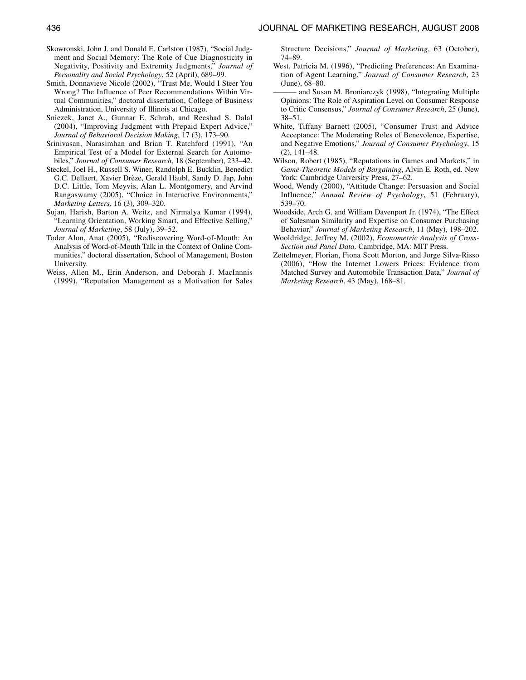- Skowronski, John J. and Donald E. Carlston (1987), "Social Judgment and Social Memory: The Role of Cue Diagnosticity in Negativity, Positivity and Extremity Judgments," *Journal of Personality and Social Psychology*, 52 (April), 689–99.
- Smith, Donnavieve Nicole (2002), "Trust Me, Would I Steer You Wrong? The Influence of Peer Recommendations Within Virtual Communities," doctoral dissertation, College of Business Administration, University of Illinois at Chicago.
- Sniezek, Janet A., Gunnar E. Schrah, and Reeshad S. Dalal (2004), "Improving Judgment with Prepaid Expert Advice," *Journal of Behavioral Decision Making*, 17 (3), 173–90.
- Srinivasan, Narasimhan and Brian T. Ratchford (1991), "An Empirical Test of a Model for External Search for Automobiles," *Journal of Consumer Research*, 18 (September), 233–42.
- Steckel, Joel H., Russell S. Winer, Randolph E. Bucklin, Benedict G.C. Dellaert, Xavier Drèze, Gerald Häubl, Sandy D. Jap, John D.C. Little, Tom Meyvis, Alan L. Montgomery, and Arvind Rangaswamy (2005), "Choice in Interactive Environments," *Marketing Letters*, 16 (3), 309–320.
- Sujan, Harish, Barton A. Weitz, and Nirmalya Kumar (1994), "Learning Orientation, Working Smart, and Effective Selling," *Journal of Marketing*, 58 (July), 39–52.
- Toder Alon, Anat (2005), "Rediscovering Word-of-Mouth: An Analysis of Word-of-Mouth Talk in the Context of Online Communities," doctoral dissertation, School of Management, Boston University.
- Weiss, Allen M., Erin Anderson, and Deborah J. MacInnnis (1999), "Reputation Management as a Motivation for Sales

Structure Decisions," *Journal of Marketing*, 63 (October), 74–89.

- West, Patricia M. (1996), "Predicting Preferences: An Examination of Agent Learning," *Journal of Consumer Research*, 23 (June), 68–80.
- and Susan M. Broniarczyk (1998), "Integrating Multiple Opinions: The Role of Aspiration Level on Consumer Response to Critic Consensus," *Journal of Consumer Research*, 25 (June), 38–51.
- White, Tiffany Barnett (2005), "Consumer Trust and Advice Acceptance: The Moderating Roles of Benevolence, Expertise, and Negative Emotions," *Journal of Consumer Psychology*, 15 (2), 141–48.
- Wilson, Robert (1985), "Reputations in Games and Markets," in *Game-Theoretic Models of Bargaining*, Alvin E. Roth, ed. New York: Cambridge University Press, 27–62.
- Wood, Wendy (2000), "Attitude Change: Persuasion and Social Influence," *Annual Review of Psychology*, 51 (February), 539–70.
- Woodside, Arch G. and William Davenport Jr. (1974), "The Effect of Salesman Similarity and Expertise on Consumer Purchasing Behavior," *Journal of Marketing Research*, 11 (May), 198–202.
- Wooldridge, Jeffrey M. (2002), *Econometric Analysis of Cross-Section and Panel Data*. Cambridge, MA: MIT Press.
- Zettelmeyer, Florian, Fiona Scott Morton, and Jorge Silva-Risso (2006), "How the Internet Lowers Prices: Evidence from Matched Survey and Automobile Transaction Data," *Journal of Marketing Research*, 43 (May), 168–81.